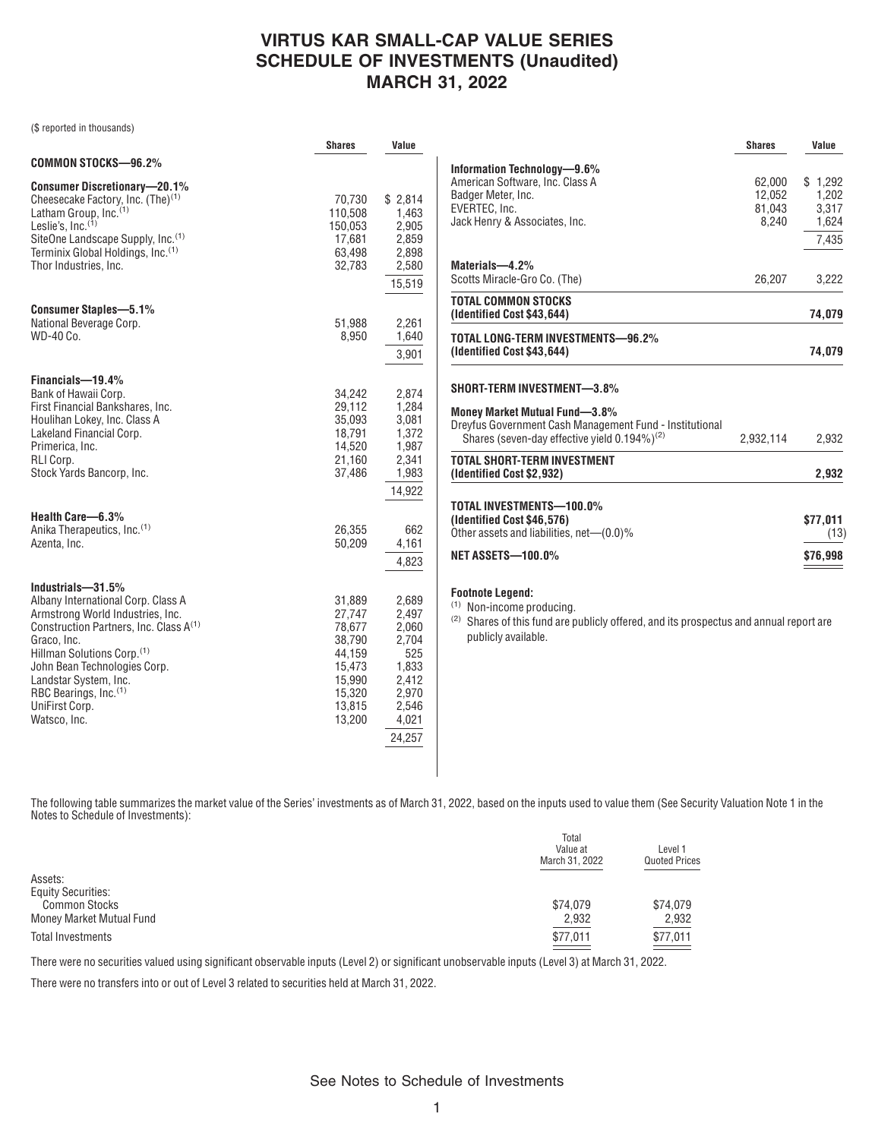## **VIRTUS KAR SMALL-CAP VALUE SERIES SCHEDULE OF INVESTMENTS (Unaudited) MARCH 31, 2022**

(\$ reported in thousands)

|                                                                                                                                                                                                                                                                                                                                            | <b>Shares</b>                                                                                    | Value                                                                                          |
|--------------------------------------------------------------------------------------------------------------------------------------------------------------------------------------------------------------------------------------------------------------------------------------------------------------------------------------------|--------------------------------------------------------------------------------------------------|------------------------------------------------------------------------------------------------|
| COMMON STOCKS-96.2%                                                                                                                                                                                                                                                                                                                        |                                                                                                  |                                                                                                |
| <b>Consumer Discretionary-20.1%</b><br>Cheesecake Factory, Inc. (The) <sup>(1)</sup><br>Latham Group, Inc. <sup>(1)</sup><br>Leslie's, $Inc.$ <sup>(1)</sup><br>SiteOne Landscape Supply, Inc. <sup>(1)</sup><br>Terminix Global Holdings, Inc. <sup>(1)</sup><br>Thor Industries, Inc.                                                    | 70,730<br>110,508<br>150,053<br>17,681<br>63,498<br>32,783                                       | \$2,814<br>1,463<br>2,905<br>2,859<br>2,898<br>2,580<br>15.519                                 |
| <b>Consumer Staples-5.1%</b><br>National Beverage Corp.<br>WD-40 Co.                                                                                                                                                                                                                                                                       | 51,988<br>8,950                                                                                  | 2,261<br>1,640<br>3,901                                                                        |
| Financials-19.4%<br>Bank of Hawaii Corp.<br>First Financial Bankshares, Inc.<br>Houlihan Lokey, Inc. Class A<br>Lakeland Financial Corp.<br>Primerica, Inc.<br>RLI Corp.<br>Stock Yards Bancorp, Inc.                                                                                                                                      | 34.242<br>29,112<br>35,093<br>18,791<br>14,520<br>21,160<br>37,486                               | 2,874<br>1,284<br>3,081<br>1,372<br>1,987<br>2,341<br>1,983<br>14,922                          |
| Health Care-6.3%<br>Anika Therapeutics, Inc. <sup>(1)</sup><br>Azenta, Inc.                                                                                                                                                                                                                                                                | 26,355<br>50.209                                                                                 | 662<br>4,161<br>4,823                                                                          |
| Industrials-31.5%<br>Albany International Corp. Class A<br>Armstrong World Industries, Inc.<br>Construction Partners, Inc. Class A <sup>(1)</sup><br>Graco, Inc.<br>Hillman Solutions Corp. <sup>(1)</sup><br>John Bean Technologies Corp.<br>Landstar System, Inc.<br>RBC Bearings, Inc. <sup>(1)</sup><br>UniFirst Corp.<br>Watsco, Inc. | 31,889<br>27.747<br>78,677<br>38,790<br>44,159<br>15,473<br>15,990<br>15,320<br>13,815<br>13,200 | 2.689<br>2,497<br>2,060<br>2,704<br>525<br>1,833<br>2,412<br>2,970<br>2,546<br>4,021<br>24,257 |

|                                                                                                                                                             | <b>Shares</b>                       | Value                                       |
|-------------------------------------------------------------------------------------------------------------------------------------------------------------|-------------------------------------|---------------------------------------------|
| Information Technology-9.6%<br>American Software, Inc. Class A<br>Badger Meter, Inc.<br>EVERTEC, Inc.<br>Jack Henry & Associates, Inc.                      | 62,000<br>12,052<br>81,043<br>8.240 | \$1.292<br>1,202<br>3,317<br>1,624<br>7,435 |
| Materials-4.2%<br>Scotts Miracle-Gro Co. (The)                                                                                                              | 26,207                              | 3,222                                       |
| <b>TOTAL COMMON STOCKS</b><br>(Identified Cost \$43,644)                                                                                                    |                                     | 74,079                                      |
| TOTAL LONG-TERM INVESTMENTS-96.2%<br>(Identified Cost \$43,644)                                                                                             |                                     | 74,079                                      |
| <b>SHORT-TERM INVESTMENT-3.8%</b>                                                                                                                           |                                     |                                             |
| <b>Money Market Mutual Fund-3.8%</b><br>Dreyfus Government Cash Management Fund - Institutional<br>Shares (seven-day effective vield 0.194%) <sup>(2)</sup> | 2,932,114                           | 2,932                                       |
| <b>TOTAL SHORT-TERM INVESTMENT</b><br>(Identified Cost \$2,932)                                                                                             |                                     | 2,932                                       |
| TOTAL INVESTMENTS-100.0%<br>(Identified Cost \$46,576)<br>Other assets and liabilities, net-(0.0)%                                                          |                                     | \$77,011<br>(13)                            |
| <b>NET ASSETS-100.0%</b>                                                                                                                                    |                                     | \$76,998                                    |
| <b>Footnote Legend:</b>                                                                                                                                     |                                     |                                             |

(1) Non-income producing.

<sup>(2)</sup> Shares of this fund are publicly offered, and its prospectus and annual report are publicly available.

The following table summarizes the market value of the Series' investments as of March 31, 2022, based on the inputs used to value them (See Security Valuation Note 1 in the Notes to Schedule of Investments):

|                           | Total<br>Value at<br>March 31, 2022 | Level 1<br><b>Quoted Prices</b> |
|---------------------------|-------------------------------------|---------------------------------|
| Assets:                   |                                     |                                 |
| <b>Equity Securities:</b> |                                     |                                 |
| <b>Common Stocks</b>      | \$74,079                            | \$74,079                        |
| Money Market Mutual Fund  | 2,932                               | 2,932                           |
| Total Investments         | \$77.011                            | \$77.011                        |

There were no securities valued using significant observable inputs (Level 2) or significant unobservable inputs (Level 3) at March 31, 2022.

There were no transfers into or out of Level 3 related to securities held at March 31, 2022.

See Notes to Schedule of Investments